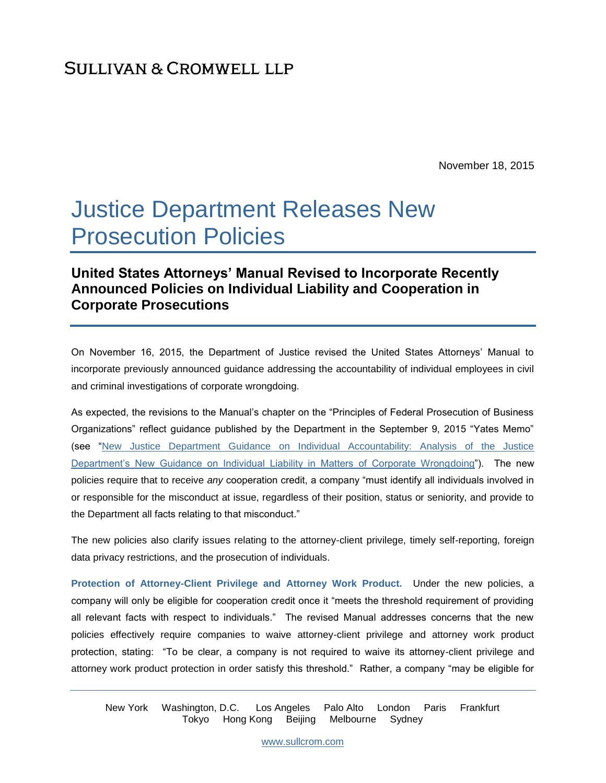November 18, 2015

# Justice Department Releases New Prosecution Policies

## **United States Attorneys' Manual Revised to Incorporate Recently Announced Policies on Individual Liability and Cooperation in Corporate Prosecutions**

On November 16, 2015, the Department of Justice revised the United States Attorneys' Manual to incorporate previously announced guidance addressing the accountability of individual employees in civil and criminal investigations of corporate wrongdoing.

As expected, the revisions to the Manual's chapter on the "Principles of Federal Prosecution of Business Organizations" reflect guidance published by the Department in the September 9, 2015 "Yates Memo" (see ["New Justice Department Guidance on Individual Accountability: Analysis of the Justice](https://www.sullcrom.com/new-justice-department-guidance-on-individual-accountability)  [Department's New Guidance on Individual Liability in Matters of Corporate Wrongdoing"](https://www.sullcrom.com/new-justice-department-guidance-on-individual-accountability)). The new policies require that to receive *any* cooperation credit, a company "must identify all individuals involved in or responsible for the misconduct at issue, regardless of their position, status or seniority, and provide to the Department all facts relating to that misconduct."

The new policies also clarify issues relating to the attorney-client privilege, timely self-reporting, foreign data privacy restrictions, and the prosecution of individuals.

**Protection of Attorney-Client Privilege and Attorney Work Product.** Under the new policies, a company will only be eligible for cooperation credit once it "meets the threshold requirement of providing all relevant facts with respect to individuals." The revised Manual addresses concerns that the new policies effectively require companies to waive attorney-client privilege and attorney work product protection, stating: "To be clear, a company is not required to waive its attorney-client privilege and attorney work product protection in order satisfy this threshold." Rather, a company "may be eligible for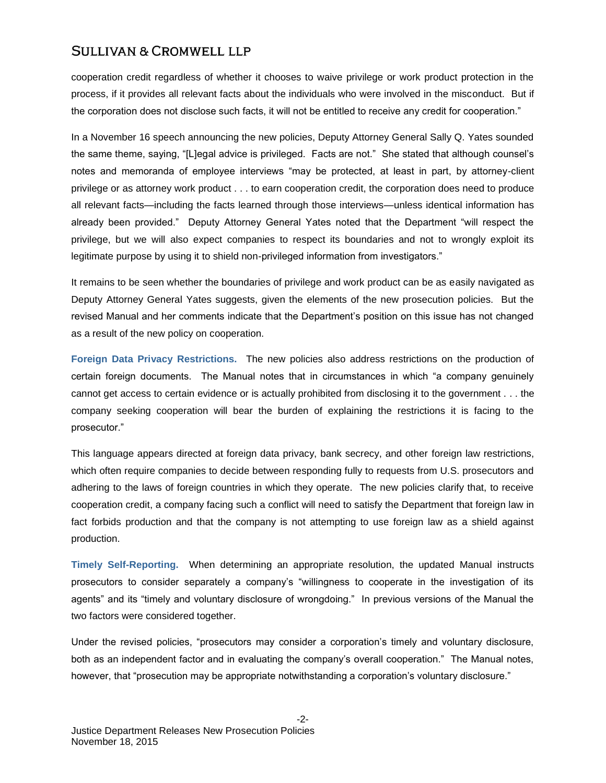cooperation credit regardless of whether it chooses to waive privilege or work product protection in the process, if it provides all relevant facts about the individuals who were involved in the misconduct. But if the corporation does not disclose such facts, it will not be entitled to receive any credit for cooperation."

In a November 16 speech announcing the new policies, Deputy Attorney General Sally Q. Yates sounded the same theme, saying, "[L]egal advice is privileged. Facts are not." She stated that although counsel's notes and memoranda of employee interviews "may be protected, at least in part, by attorney-client privilege or as attorney work product . . . to earn cooperation credit, the corporation does need to produce all relevant facts—including the facts learned through those interviews—unless identical information has already been provided." Deputy Attorney General Yates noted that the Department "will respect the privilege, but we will also expect companies to respect its boundaries and not to wrongly exploit its legitimate purpose by using it to shield non-privileged information from investigators."

It remains to be seen whether the boundaries of privilege and work product can be as easily navigated as Deputy Attorney General Yates suggests, given the elements of the new prosecution policies. But the revised Manual and her comments indicate that the Department's position on this issue has not changed as a result of the new policy on cooperation.

**Foreign Data Privacy Restrictions.** The new policies also address restrictions on the production of certain foreign documents. The Manual notes that in circumstances in which "a company genuinely cannot get access to certain evidence or is actually prohibited from disclosing it to the government . . . the company seeking cooperation will bear the burden of explaining the restrictions it is facing to the prosecutor."

This language appears directed at foreign data privacy, bank secrecy, and other foreign law restrictions, which often require companies to decide between responding fully to requests from U.S. prosecutors and adhering to the laws of foreign countries in which they operate. The new policies clarify that, to receive cooperation credit, a company facing such a conflict will need to satisfy the Department that foreign law in fact forbids production and that the company is not attempting to use foreign law as a shield against production.

**Timely Self-Reporting.** When determining an appropriate resolution, the updated Manual instructs prosecutors to consider separately a company's "willingness to cooperate in the investigation of its agents" and its "timely and voluntary disclosure of wrongdoing." In previous versions of the Manual the two factors were considered together.

Under the revised policies, "prosecutors may consider a corporation's timely and voluntary disclosure, both as an independent factor and in evaluating the company's overall cooperation." The Manual notes, however, that "prosecution may be appropriate notwithstanding a corporation's voluntary disclosure."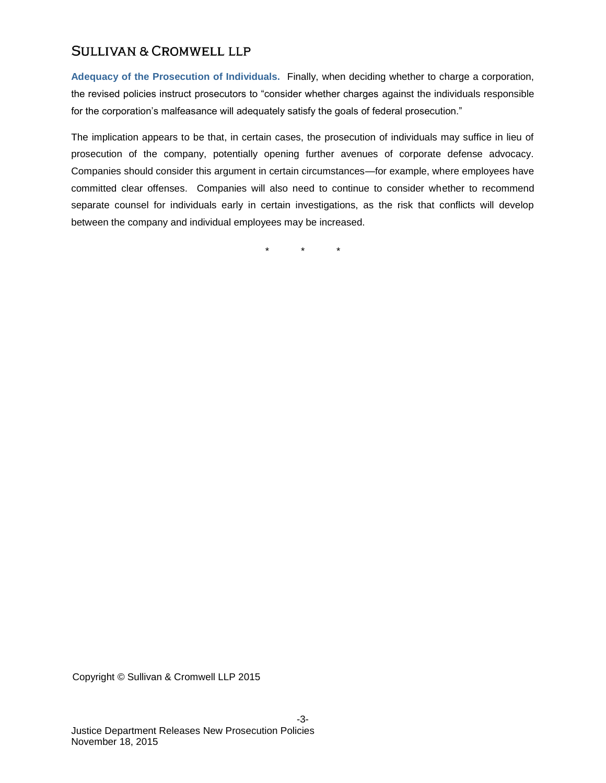**Adequacy of the Prosecution of Individuals.** Finally, when deciding whether to charge a corporation, the revised policies instruct prosecutors to "consider whether charges against the individuals responsible for the corporation's malfeasance will adequately satisfy the goals of federal prosecution."

The implication appears to be that, in certain cases, the prosecution of individuals may suffice in lieu of prosecution of the company, potentially opening further avenues of corporate defense advocacy. Companies should consider this argument in certain circumstances—for example, where employees have committed clear offenses. Companies will also need to continue to consider whether to recommend separate counsel for individuals early in certain investigations, as the risk that conflicts will develop between the company and individual employees may be increased.

\* \* \*

Copyright © Sullivan & Cromwell LLP 2015